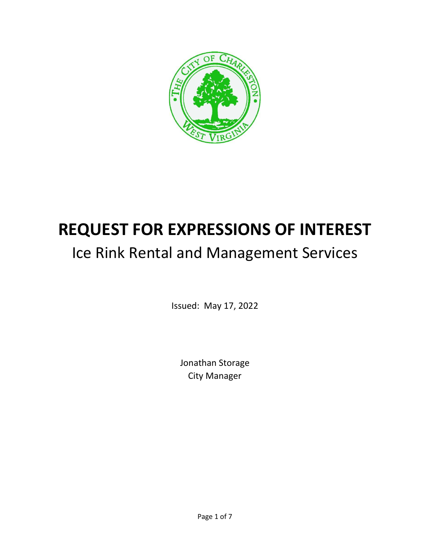

# **REQUEST FOR EXPRESSIONS OF INTEREST**

# Ice Rink Rental and Management Services

Issued: May 17, 2022

Jonathan Storage City Manager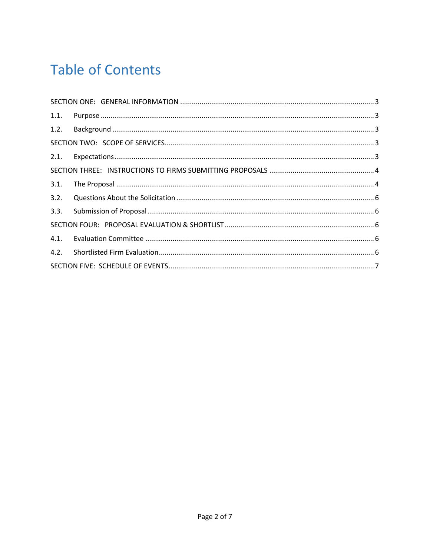# **Table of Contents**

| 3.1. |  |  |  |  |
|------|--|--|--|--|
| 3.2. |  |  |  |  |
|      |  |  |  |  |
|      |  |  |  |  |
|      |  |  |  |  |
|      |  |  |  |  |
|      |  |  |  |  |
|      |  |  |  |  |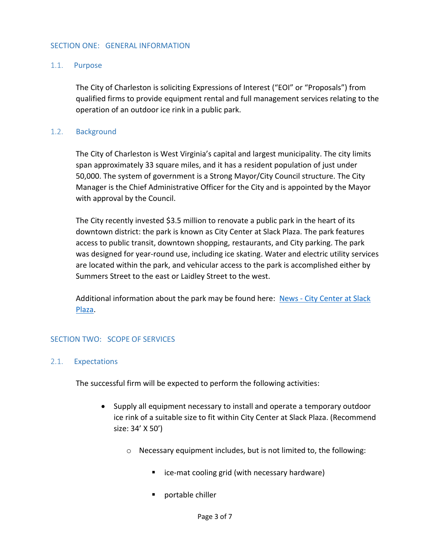#### <span id="page-2-1"></span><span id="page-2-0"></span>SECTION ONE: GENERAL INFORMATION

#### 1.1. Purpose

The City of Charleston is soliciting Expressions of Interest ("EOI" or "Proposals") from qualified firms to provide equipment rental and full management services relating to the operation of an outdoor ice rink in a public park.

#### 1.2. Background

<span id="page-2-2"></span>The City of Charleston is West Virginia's capital and largest municipality. The city limits span approximately 33 square miles, and it has a resident population of just under 50,000. The system of government is a Strong Mayor/City Council structure. The City Manager is the Chief Administrative Officer for the City and is appointed by the Mayor with approval by the Council.

The City recently invested \$3.5 million to renovate a public park in the heart of its downtown district: the park is known as City Center at Slack Plaza. The park features access to public transit, downtown shopping, restaurants, and City parking. The park was designed for year-round use, including ice skating. Water and electric utility services are located within the park, and vehicular access to the park is accomplished either by Summers Street to the east or Laidley Street to the west.

Additional information about the park may be found here: News - [City Center at Slack](https://cityofcharlestonorg-my.sharepoint.com/:f:/g/personal/jonathan_storage_cityofcharleston_org/EtdFJ8e0YN5Htm5jPUv9jXsBeW_ijqHVh_cRXkpGAgFMhA?e=hVFpd6)  [Plaza.](https://cityofcharlestonorg-my.sharepoint.com/:f:/g/personal/jonathan_storage_cityofcharleston_org/EtdFJ8e0YN5Htm5jPUv9jXsBeW_ijqHVh_cRXkpGAgFMhA?e=hVFpd6)

#### <span id="page-2-3"></span>SECTION TWO: SCOPE OF SERVICES

#### <span id="page-2-4"></span>2.1. Expectations

The successful firm will be expected to perform the following activities:

- Supply all equipment necessary to install and operate a temporary outdoor ice rink of a suitable size to fit within City Center at Slack Plaza. (Recommend size: 34' X 50')
	- o Necessary equipment includes, but is not limited to, the following:
		- ice-mat cooling grid (with necessary hardware)
		- portable chiller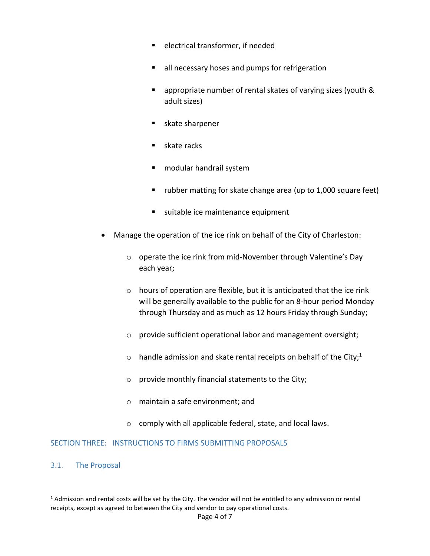- electrical transformer, if needed
- all necessary hoses and pumps for refrigeration
- appropriate number of rental skates of varying sizes (youth & adult sizes)
- skate sharpener
- skate racks
- modular handrail system
- rubber matting for skate change area (up to 1,000 square feet)
- suitable ice maintenance equipment
- Manage the operation of the ice rink on behalf of the City of Charleston:
	- o operate the ice rink from mid-November through Valentine's Day each year;
	- o hours of operation are flexible, but it is anticipated that the ice rink will be generally available to the public for an 8-hour period Monday through Thursday and as much as 12 hours Friday through Sunday;
	- o provide sufficient operational labor and management oversight;
	- $\circ$  handle admission and skate rental receipts on behalf of the City;<sup>1</sup>
	- o provide monthly financial statements to the City;
	- o maintain a safe environment; and
	- o comply with all applicable federal, state, and local laws.

# <span id="page-3-0"></span>SECTION THREE: INSTRUCTIONS TO FIRMS SUBMITTING PROPOSALS

# <span id="page-3-1"></span>3.1. The Proposal

 $1$  Admission and rental costs will be set by the City. The vendor will not be entitled to any admission or rental receipts, except as agreed to between the City and vendor to pay operational costs.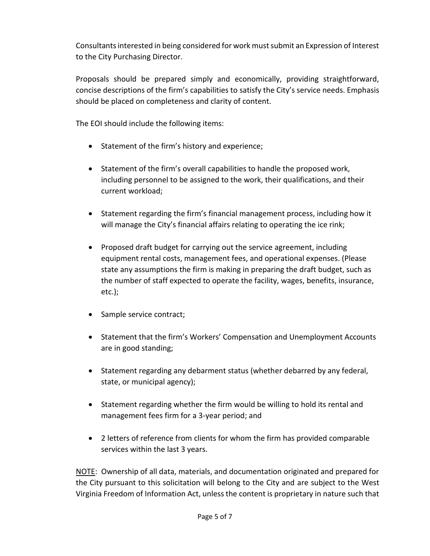Consultants interested in being considered for work must submit an Expression of Interest to the City Purchasing Director.

Proposals should be prepared simply and economically, providing straightforward, concise descriptions of the firm's capabilities to satisfy the City's service needs. Emphasis should be placed on completeness and clarity of content.

The EOI should include the following items:

- Statement of the firm's history and experience;
- Statement of the firm's overall capabilities to handle the proposed work, including personnel to be assigned to the work, their qualifications, and their current workload;
- Statement regarding the firm's financial management process, including how it will manage the City's financial affairs relating to operating the ice rink;
- Proposed draft budget for carrying out the service agreement, including equipment rental costs, management fees, and operational expenses. (Please state any assumptions the firm is making in preparing the draft budget, such as the number of staff expected to operate the facility, wages, benefits, insurance, etc.);
- Sample service contract;
- Statement that the firm's Workers' Compensation and Unemployment Accounts are in good standing;
- Statement regarding any debarment status (whether debarred by any federal, state, or municipal agency);
- Statement regarding whether the firm would be willing to hold its rental and management fees firm for a 3-year period; and
- 2 letters of reference from clients for whom the firm has provided comparable services within the last 3 years.

NOTE: Ownership of all data, materials, and documentation originated and prepared for the City pursuant to this solicitation will belong to the City and are subject to the West Virginia Freedom of Information Act, unless the content is proprietary in nature such that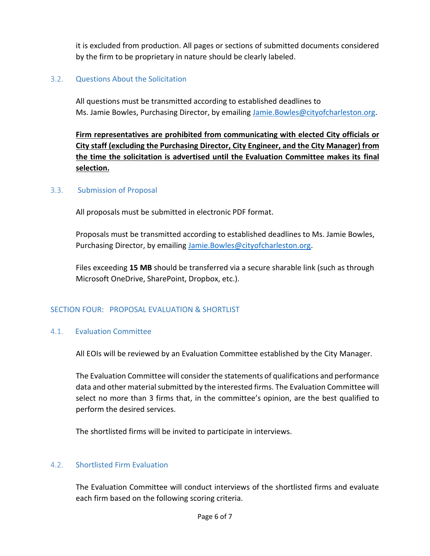it is excluded from production. All pages or sections of submitted documents considered by the firm to be proprietary in nature should be clearly labeled.

# <span id="page-5-0"></span>3.2. Questions About the Solicitation

All questions must be transmitted according to established deadlines to Ms. Jamie Bowles, Purchasing Director, by emailing [Jamie.Bowles@cityofcharleston.org.](mailto:Jamie.Bowles@cityofcharleston.org)

**Firm representatives are prohibited from communicating with elected City officials or City staff (excluding the Purchasing Director, City Engineer, and the City Manager) from the time the solicitation is advertised until the Evaluation Committee makes its final selection.**

#### 3.3. Submission of Proposal

<span id="page-5-1"></span>All proposals must be submitted in electronic PDF format.

Proposals must be transmitted according to established deadlines to Ms. Jamie Bowles, Purchasing Director, by emailing [Jamie.Bowles@cityofcharleston.org.](mailto:Jamie.Bowles@cityofcharleston.org)

Files exceeding **15 MB** should be transferred via a secure sharable link (such as through Microsoft OneDrive, SharePoint, Dropbox, etc.).

# <span id="page-5-2"></span>SECTION FOUR: PROPOSAL EVALUATION & SHORTLIST

#### <span id="page-5-3"></span>4.1. Evaluation Committee

All EOIs will be reviewed by an Evaluation Committee established by the City Manager.

The Evaluation Committee will consider the statements of qualifications and performance data and other material submitted by the interested firms. The Evaluation Committee will select no more than 3 firms that, in the committee's opinion, are the best qualified to perform the desired services.

The shortlisted firms will be invited to participate in interviews.

# <span id="page-5-4"></span>4.2. Shortlisted Firm Evaluation

The Evaluation Committee will conduct interviews of the shortlisted firms and evaluate each firm based on the following scoring criteria.